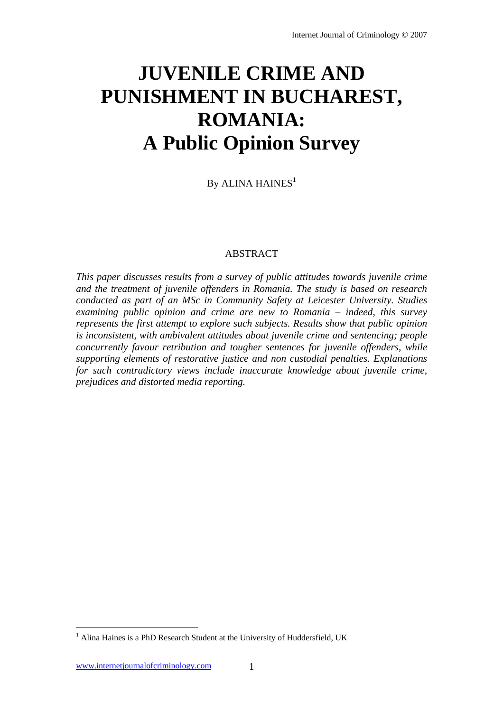# **JUVENILE CRIME AND PUNISHMENT IN BUCHAREST, ROMANIA: A Public Opinion Survey**

By ALINA HAINES $<sup>1</sup>$ </sup>

# ABSTRACT

*This paper discusses results from a survey of public attitudes towards juvenile crime and the treatment of juvenile offenders in Romania. The study is based on research conducted as part of an MSc in Community Safety at Leicester University. Studies examining public opinion and crime are new to Romania – indeed, this survey represents the first attempt to explore such subjects. Results show that public opinion is inconsistent, with ambivalent attitudes about juvenile crime and sentencing; people concurrently favour retribution and tougher sentences for juvenile offenders, while supporting elements of restorative justice and non custodial penalties. Explanations for such contradictory views include inaccurate knowledge about juvenile crime, prejudices and distorted media reporting.* 

 $\overline{a}$ 

<sup>&</sup>lt;sup>1</sup> Alina Haines is a PhD Research Student at the University of Huddersfield, UK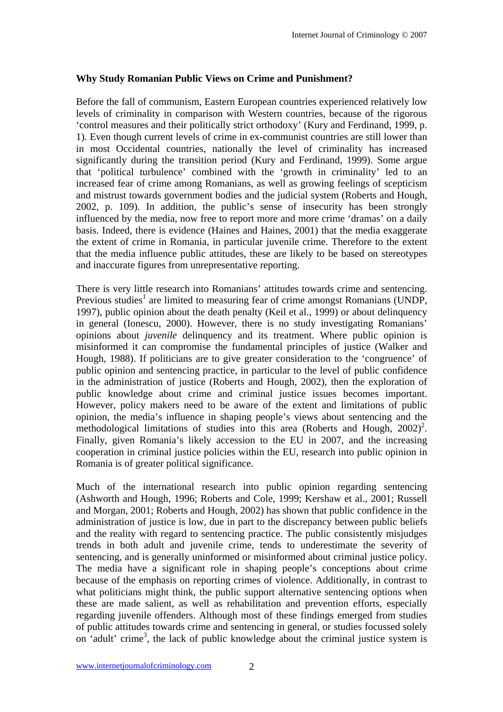## **Why Study Romanian Public Views on Crime and Punishment?**

Before the fall of communism, Eastern European countries experienced relatively low levels of criminality in comparison with Western countries, because of the rigorous 'control measures and their politically strict orthodoxy' (Kury and Ferdinand, 1999, p. 1). Even though current levels of crime in ex-communist countries are still lower than in most Occidental countries, nationally the level of criminality has increased significantly during the transition period (Kury and Ferdinand, 1999). Some argue that 'political turbulence' combined with the 'growth in criminality' led to an increased fear of crime among Romanians, as well as growing feelings of scepticism and mistrust towards government bodies and the judicial system (Roberts and Hough, 2002, p. 109). In addition, the public's sense of insecurity has been strongly influenced by the media, now free to report more and more crime 'dramas' on a daily basis. Indeed, there is evidence (Haines and Haines, 2001) that the media exaggerate the extent of crime in Romania, in particular juvenile crime. Therefore to the extent that the media influence public attitudes, these are likely to be based on stereotypes and inaccurate figures from unrepresentative reporting.

There is very little research into Romanians' attitudes towards crime and sentencing. Previous studies<sup>1</sup> are limited to measuring fear of crime amongst Romanians (UNDP, 1997), public opinion about the death penalty (Keil et al., 1999) or about delinquency in general (Ionescu, 2000). However, there is no study investigating Romanians' opinions about *juvenile* delinquency and its treatment. Where public opinion is misinformed it can compromise the fundamental principles of justice (Walker and Hough, 1988). If politicians are to give greater consideration to the 'congruence' of public opinion and sentencing practice, in particular to the level of public confidence in the administration of justice (Roberts and Hough, 2002), then the exploration of public knowledge about crime and criminal justice issues becomes important. However, policy makers need to be aware of the extent and limitations of public opinion, the media's influence in shaping people's views about sentencing and the methodological limitations of studies into this area (Roberts and Hough,  $2002$ )<sup>2</sup>. Finally, given Romania's likely accession to the EU in 2007, and the increasing cooperation in criminal justice policies within the EU, research into public opinion in Romania is of greater political significance.

Much of the international research into public opinion regarding sentencing (Ashworth and Hough, 1996; Roberts and Cole, 1999; Kershaw et al., 2001; Russell and Morgan, 2001; Roberts and Hough, 2002) has shown that public confidence in the administration of justice is low, due in part to the discrepancy between public beliefs and the reality with regard to sentencing practice. The public consistently misjudges trends in both adult and juvenile crime, tends to underestimate the severity of sentencing, and is generally uninformed or misinformed about criminal justice policy. The media have a significant role in shaping people's conceptions about crime because of the emphasis on reporting crimes of violence. Additionally, in contrast to what politicians might think, the public support alternative sentencing options when these are made salient, as well as rehabilitation and prevention efforts, especially regarding juvenile offenders. Although most of these findings emerged from studies of public attitudes towards crime and sentencing in general, or studies focussed solely on 'adult' crime<sup>3</sup>, the lack of public knowledge about the criminal justice system is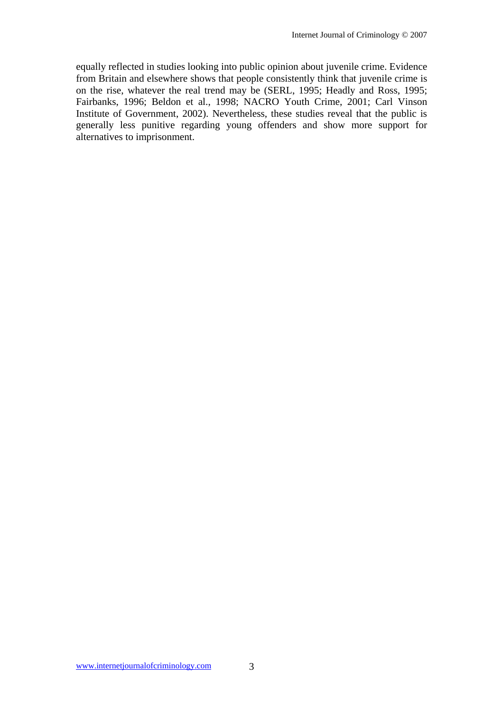equally reflected in studies looking into public opinion about juvenile crime. Evidence from Britain and elsewhere shows that people consistently think that juvenile crime is on the rise, whatever the real trend may be (SERL, 1995; Headly and Ross, 1995; Fairbanks, 1996; Beldon et al., 1998; NACRO Youth Crime, 2001; Carl Vinson Institute of Government, 2002). Nevertheless, these studies reveal that the public is generally less punitive regarding young offenders and show more support for alternatives to imprisonment.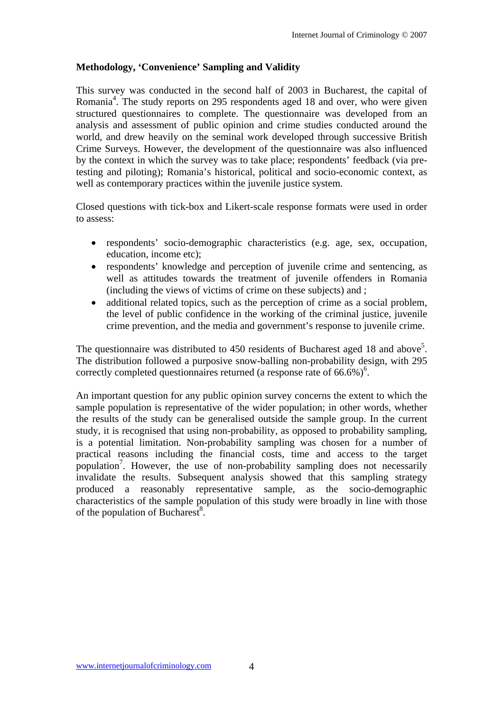# **Methodology, 'Convenience' Sampling and Validity**

This survey was conducted in the second half of 2003 in Bucharest, the capital of Romania<sup>4</sup>. The study reports on 295 respondents aged 18 and over, who were given structured questionnaires to complete. The questionnaire was developed from an analysis and assessment of public opinion and crime studies conducted around the world, and drew heavily on the seminal work developed through successive British Crime Surveys. However, the development of the questionnaire was also influenced by the context in which the survey was to take place; respondents' feedback (via pretesting and piloting); Romania's historical, political and socio-economic context, as well as contemporary practices within the juvenile justice system.

Closed questions with tick-box and Likert-scale response formats were used in order to assess:

- respondents' socio-demographic characteristics (e.g. age, sex, occupation, education, income etc);
- respondents' knowledge and perception of juvenile crime and sentencing, as well as attitudes towards the treatment of juvenile offenders in Romania (including the views of victims of crime on these subjects) and ;
- additional related topics, such as the perception of crime as a social problem. the level of public confidence in the working of the criminal justice, juvenile crime prevention, and the media and government's response to juvenile crime.

The questionnaire was distributed to 450 residents of Bucharest aged 18 and above<sup>5</sup>. The distribution followed a purposive snow-balling non-probability design, with 295 correctly completed questionnaires returned (a response rate of  $66.6\%$ )<sup>6</sup>.

An important question for any public opinion survey concerns the extent to which the sample population is representative of the wider population; in other words, whether the results of the study can be generalised outside the sample group. In the current study, it is recognised that using non-probability, as opposed to probability sampling, is a potential limitation. Non-probability sampling was chosen for a number of practical reasons including the financial costs, time and access to the target population<sup>7</sup>. However, the use of non-probability sampling does not necessarily invalidate the results. Subsequent analysis showed that this sampling strategy produced a reasonably representative sample, as the socio-demographic characteristics of the sample population of this study were broadly in line with those of the population of Bucharest $8$ .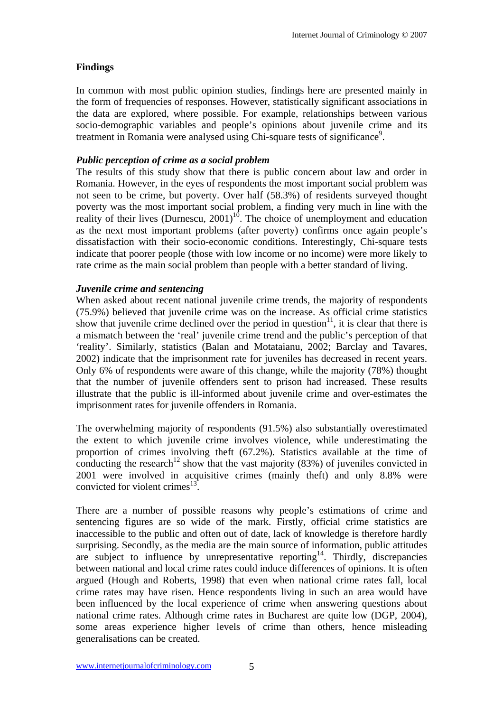## **Findings**

In common with most public opinion studies, findings here are presented mainly in the form of frequencies of responses. However, statistically significant associations in the data are explored, where possible. For example, relationships between various socio-demographic variables and people's opinions about juvenile crime and its treatment in Romania were analysed using Chi-square tests of significance<sup>9</sup>.

## *Public perception of crime as a social problem*

The results of this study show that there is public concern about law and order in Romania. However, in the eyes of respondents the most important social problem was not seen to be crime, but poverty. Over half (58.3%) of residents surveyed thought poverty was the most important social problem, a finding very much in line with the reality of their lives (Durnescu,  $2001$ )<sup>10</sup>. The choice of unemployment and education as the next most important problems (after poverty) confirms once again people's dissatisfaction with their socio-economic conditions. Interestingly, Chi-square tests indicate that poorer people (those with low income or no income) were more likely to rate crime as the main social problem than people with a better standard of living.

## *Juvenile crime and sentencing*

When asked about recent national juvenile crime trends, the majority of respondents (75.9%) believed that juvenile crime was on the increase. As official crime statistics show that juvenile crime declined over the period in question $11$ , it is clear that there is a mismatch between the 'real' juvenile crime trend and the public's perception of that 'reality'. Similarly, statistics (Balan and Motataianu, 2002; Barclay and Tavares, 2002) indicate that the imprisonment rate for juveniles has decreased in recent years. Only 6% of respondents were aware of this change, while the majority (78%) thought that the number of juvenile offenders sent to prison had increased. These results illustrate that the public is ill-informed about juvenile crime and over-estimates the imprisonment rates for juvenile offenders in Romania.

The overwhelming majority of respondents (91.5%) also substantially overestimated the extent to which juvenile crime involves violence, while underestimating the proportion of crimes involving theft (67.2%). Statistics available at the time of conducting the research<sup>12</sup> show that the vast majority (83%) of juveniles convicted in 2001 were involved in acquisitive crimes (mainly theft) and only 8.8% were convicted for violent crimes $^{13}$ .

There are a number of possible reasons why people's estimations of crime and sentencing figures are so wide of the mark. Firstly, official crime statistics are inaccessible to the public and often out of date, lack of knowledge is therefore hardly surprising. Secondly, as the media are the main source of information, public attitudes are subject to influence by unrepresentative reporting<sup>14</sup>. Thirdly, discrepancies between national and local crime rates could induce differences of opinions. It is often argued (Hough and Roberts, 1998) that even when national crime rates fall, local crime rates may have risen. Hence respondents living in such an area would have been influenced by the local experience of crime when answering questions about national crime rates. Although crime rates in Bucharest are quite low (DGP, 2004), some areas experience higher levels of crime than others, hence misleading generalisations can be created.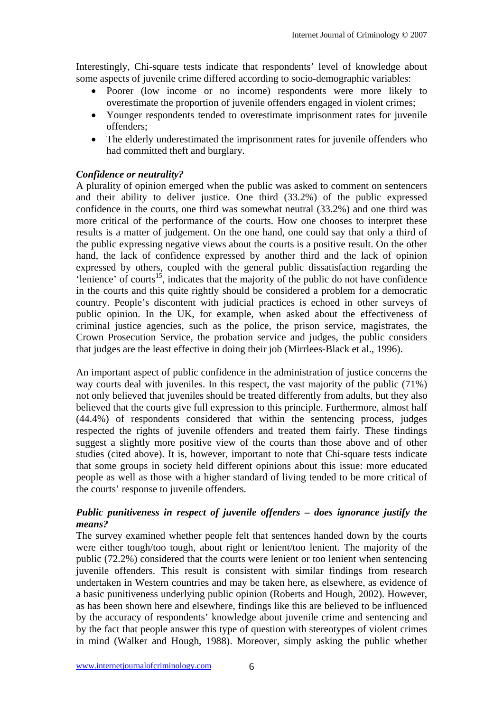Interestingly, Chi-square tests indicate that respondents' level of knowledge about some aspects of juvenile crime differed according to socio-demographic variables:

- Poorer (low income or no income) respondents were more likely to overestimate the proportion of juvenile offenders engaged in violent crimes;
- Younger respondents tended to overestimate imprisonment rates for juvenile offenders;
- The elderly underestimated the imprisonment rates for juvenile offenders who had committed theft and burglary.

## *Confidence or neutrality?*

A plurality of opinion emerged when the public was asked to comment on sentencers and their ability to deliver justice. One third (33.2%) of the public expressed confidence in the courts, one third was somewhat neutral (33.2%) and one third was more critical of the performance of the courts. How one chooses to interpret these results is a matter of judgement. On the one hand, one could say that only a third of the public expressing negative views about the courts is a positive result. On the other hand, the lack of confidence expressed by another third and the lack of opinion expressed by others, coupled with the general public dissatisfaction regarding the 'lenience' of courts<sup>15</sup>, indicates that the majority of the public do not have confidence in the courts and this quite rightly should be considered a problem for a democratic country. People's discontent with judicial practices is echoed in other surveys of public opinion. In the UK, for example, when asked about the effectiveness of criminal justice agencies, such as the police, the prison service, magistrates, the Crown Prosecution Service, the probation service and judges, the public considers that judges are the least effective in doing their job (Mirrlees-Black et al., 1996).

An important aspect of public confidence in the administration of justice concerns the way courts deal with juveniles. In this respect, the vast majority of the public (71%) not only believed that juveniles should be treated differently from adults, but they also believed that the courts give full expression to this principle. Furthermore, almost half (44.4%) of respondents considered that within the sentencing process, judges respected the rights of juvenile offenders and treated them fairly. These findings suggest a slightly more positive view of the courts than those above and of other studies (cited above). It is, however, important to note that Chi-square tests indicate that some groups in society held different opinions about this issue: more educated people as well as those with a higher standard of living tended to be more critical of the courts' response to juvenile offenders.

## *Public punitiveness in respect of juvenile offenders – does ignorance justify the means?*

The survey examined whether people felt that sentences handed down by the courts were either tough/too tough, about right or lenient/too lenient. The majority of the public (72.2%) considered that the courts were lenient or too lenient when sentencing juvenile offenders. This result is consistent with similar findings from research undertaken in Western countries and may be taken here, as elsewhere, as evidence of a basic punitiveness underlying public opinion (Roberts and Hough, 2002). However, as has been shown here and elsewhere, findings like this are believed to be influenced by the accuracy of respondents' knowledge about juvenile crime and sentencing and by the fact that people answer this type of question with stereotypes of violent crimes in mind (Walker and Hough, 1988). Moreover, simply asking the public whether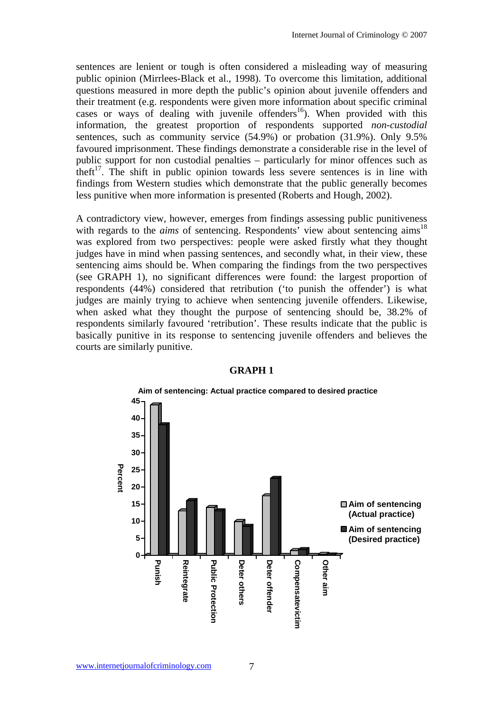sentences are lenient or tough is often considered a misleading way of measuring public opinion (Mirrlees-Black et al., 1998). To overcome this limitation, additional questions measured in more depth the public's opinion about juvenile offenders and their treatment (e.g. respondents were given more information about specific criminal cases or ways of dealing with juvenile offenders<sup>16</sup>). When provided with this information, the greatest proportion of respondents supported *non-custodial* sentences, such as community service  $(54.9\%)$  or probation  $(31.9\%)$ . Only 9.5% favoured imprisonment. These findings demonstrate a considerable rise in the level of public support for non custodial penalties – particularly for minor offences such as theft<sup>17</sup>. The shift in public opinion towards less severe sentences is in line with findings from Western studies which demonstrate that the public generally becomes less punitive when more information is presented (Roberts and Hough, 2002).

A contradictory view, however, emerges from findings assessing public punitiveness with regards to the *aims* of sentencing. Respondents' view about sentencing aims<sup>18</sup> was explored from two perspectives: people were asked firstly what they thought judges have in mind when passing sentences, and secondly what, in their view, these sentencing aims should be. When comparing the findings from the two perspectives (see GRAPH 1), no significant differences were found: the largest proportion of respondents (44%) considered that retribution ('to punish the offender') is what judges are mainly trying to achieve when sentencing juvenile offenders. Likewise, when asked what they thought the purpose of sentencing should be, 38.2% of respondents similarly favoured 'retribution'. These results indicate that the public is basically punitive in its response to sentencing juvenile offenders and believes the courts are similarly punitive.



#### **GRAPH 1**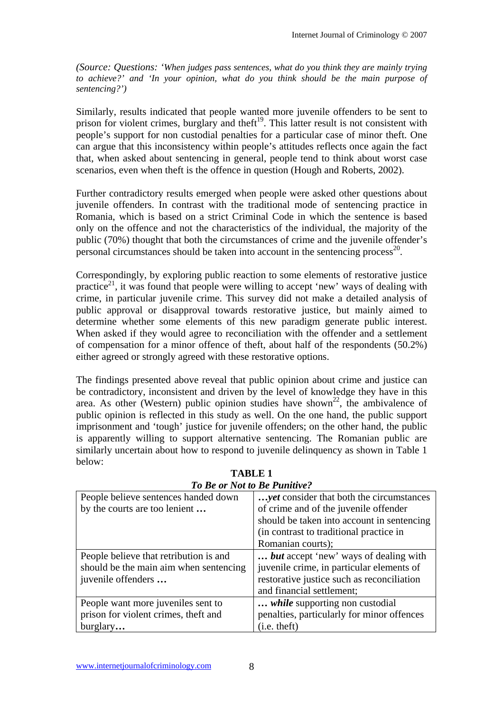*(Source: Questions: 'When judges pass sentences, what do you think they are mainly trying to achieve?' and 'In your opinion, what do you think should be the main purpose of sentencing?')* 

Similarly, results indicated that people wanted more juvenile offenders to be sent to prison for violent crimes, burglary and theft<sup>19</sup>. This latter result is not consistent with people's support for non custodial penalties for a particular case of minor theft. One can argue that this inconsistency within people's attitudes reflects once again the fact that, when asked about sentencing in general, people tend to think about worst case scenarios, even when theft is the offence in question (Hough and Roberts, 2002).

Further contradictory results emerged when people were asked other questions about juvenile offenders. In contrast with the traditional mode of sentencing practice in Romania, which is based on a strict Criminal Code in which the sentence is based only on the offence and not the characteristics of the individual, the majority of the public (70%) thought that both the circumstances of crime and the juvenile offender's personal circumstances should be taken into account in the sentencing process<sup>20</sup>.

Correspondingly, by exploring public reaction to some elements of restorative justice practice<sup>21</sup>, it was found that people were willing to accept 'new' ways of dealing with crime, in particular juvenile crime. This survey did not make a detailed analysis of public approval or disapproval towards restorative justice, but mainly aimed to determine whether some elements of this new paradigm generate public interest. When asked if they would agree to reconciliation with the offender and a settlement of compensation for a minor offence of theft, about half of the respondents (50.2%) either agreed or strongly agreed with these restorative options.

The findings presented above reveal that public opinion about crime and justice can be contradictory, inconsistent and driven by the level of knowledge they have in this area. As other (Western) public opinion studies have shown<sup>22</sup>, the ambivalence of public opinion is reflected in this study as well. On the one hand, the public support imprisonment and 'tough' justice for juvenile offenders; on the other hand, the public is apparently willing to support alternative sentencing. The Romanian public are similarly uncertain about how to respond to juvenile delinquency as shown in Table 1 below:

| 10 De 01 iyol io De 1 unulye.          |                                                 |
|----------------------------------------|-------------------------------------------------|
| People believe sentences handed down   | <i>yet</i> consider that both the circumstances |
| by the courts are too lenient          | of crime and of the juvenile offender           |
|                                        | should be taken into account in sentencing      |
|                                        | (in contrast to traditional practice in         |
|                                        | Romanian courts);                               |
| People believe that retribution is and | but accept 'new' ways of dealing with           |
| should be the main aim when sentencing | juvenile crime, in particular elements of       |
| juvenile offenders                     | restorative justice such as reconciliation      |
|                                        | and financial settlement;                       |
| People want more juveniles sent to     | <i>while</i> supporting non custodial           |
| prison for violent crimes, theft and   | penalties, particularly for minor offences      |
| burglary                               | $(i.e.$ theft)                                  |
|                                        |                                                 |

**TABLE 1**  *To Be or Not to Be Punitive?*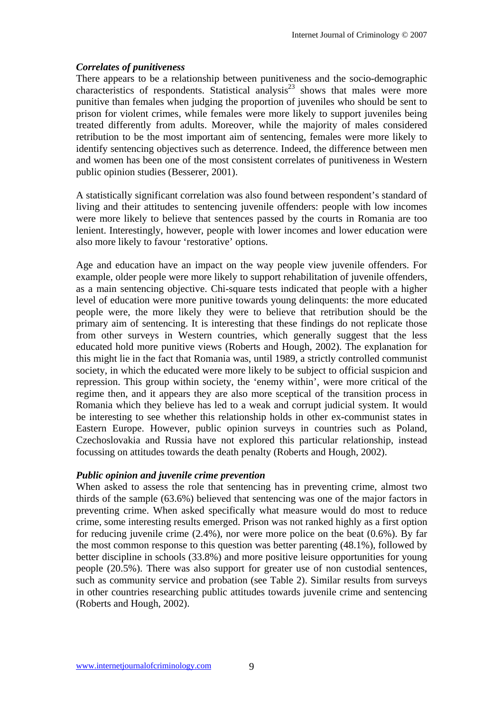# *Correlates of punitiveness*

There appears to be a relationship between punitiveness and the socio-demographic characteristics of respondents. Statistical analysis<sup>23</sup> shows that males were more punitive than females when judging the proportion of juveniles who should be sent to prison for violent crimes, while females were more likely to support juveniles being treated differently from adults. Moreover, while the majority of males considered retribution to be the most important aim of sentencing, females were more likely to identify sentencing objectives such as deterrence. Indeed, the difference between men and women has been one of the most consistent correlates of punitiveness in Western public opinion studies (Besserer, 2001).

A statistically significant correlation was also found between respondent's standard of living and their attitudes to sentencing juvenile offenders: people with low incomes were more likely to believe that sentences passed by the courts in Romania are too lenient. Interestingly, however, people with lower incomes and lower education were also more likely to favour 'restorative' options.

Age and education have an impact on the way people view juvenile offenders. For example, older people were more likely to support rehabilitation of juvenile offenders, as a main sentencing objective. Chi-square tests indicated that people with a higher level of education were more punitive towards young delinquents: the more educated people were, the more likely they were to believe that retribution should be the primary aim of sentencing. It is interesting that these findings do not replicate those from other surveys in Western countries, which generally suggest that the less educated hold more punitive views (Roberts and Hough, 2002). The explanation for this might lie in the fact that Romania was, until 1989, a strictly controlled communist society, in which the educated were more likely to be subject to official suspicion and repression. This group within society, the 'enemy within', were more critical of the regime then, and it appears they are also more sceptical of the transition process in Romania which they believe has led to a weak and corrupt judicial system. It would be interesting to see whether this relationship holds in other ex-communist states in Eastern Europe. However, public opinion surveys in countries such as Poland, Czechoslovakia and Russia have not explored this particular relationship, instead focussing on attitudes towards the death penalty (Roberts and Hough, 2002).

#### *Public opinion and juvenile crime prevention*

When asked to assess the role that sentencing has in preventing crime, almost two thirds of the sample (63.6%) believed that sentencing was one of the major factors in preventing crime. When asked specifically what measure would do most to reduce crime, some interesting results emerged. Prison was not ranked highly as a first option for reducing juvenile crime (2.4%), nor were more police on the beat (0.6%). By far the most common response to this question was better parenting (48.1%), followed by better discipline in schools (33.8%) and more positive leisure opportunities for young people (20.5%). There was also support for greater use of non custodial sentences, such as community service and probation (see Table 2). Similar results from surveys in other countries researching public attitudes towards juvenile crime and sentencing (Roberts and Hough, 2002).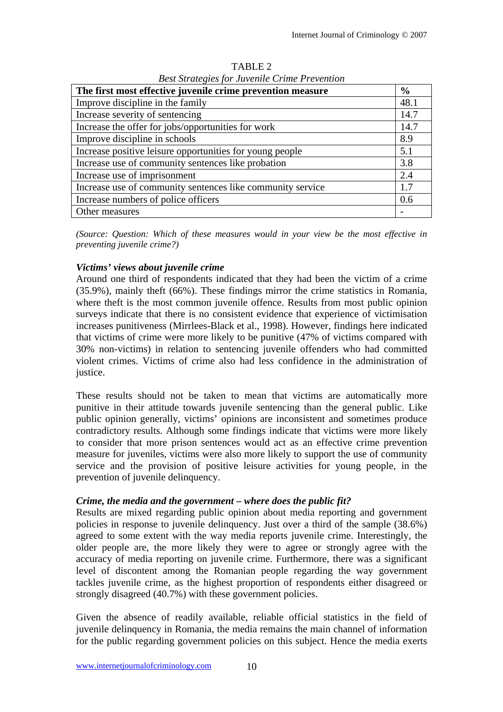| The first most effective juvenile crime prevention measure | $\frac{6}{6}$ |
|------------------------------------------------------------|---------------|
| Improve discipline in the family                           | 48.1          |
| Increase severity of sentencing                            | 14.7          |
| Increase the offer for jobs/opportunities for work         | 14.7          |
| Improve discipline in schools                              | 8.9           |
| Increase positive leisure opportunities for young people   | 5.1           |
| Increase use of community sentences like probation         | 3.8           |
| Increase use of imprisonment                               | 2.4           |
| Increase use of community sentences like community service | 1.7           |
| Increase numbers of police officers                        | 0.6           |
| Other measures                                             |               |

TABLE 2 *Best Strategies for Juvenile Crime Prevention* 

*(Source: Question: Which of these measures would in your view be the most effective in preventing juvenile crime?)* 

# *Victims' views about juvenile crime*

Around one third of respondents indicated that they had been the victim of a crime (35.9%), mainly theft (66%). These findings mirror the crime statistics in Romania, where theft is the most common juvenile offence. Results from most public opinion surveys indicate that there is no consistent evidence that experience of victimisation increases punitiveness (Mirrlees-Black et al., 1998). However, findings here indicated that victims of crime were more likely to be punitive (47% of victims compared with 30% non-victims) in relation to sentencing juvenile offenders who had committed violent crimes. Victims of crime also had less confidence in the administration of justice.

These results should not be taken to mean that victims are automatically more punitive in their attitude towards juvenile sentencing than the general public. Like public opinion generally, victims' opinions are inconsistent and sometimes produce contradictory results. Although some findings indicate that victims were more likely to consider that more prison sentences would act as an effective crime prevention measure for juveniles, victims were also more likely to support the use of community service and the provision of positive leisure activities for young people, in the prevention of juvenile delinquency.

# *Crime, the media and the government – where does the public fit?*

Results are mixed regarding public opinion about media reporting and government policies in response to juvenile delinquency. Just over a third of the sample (38.6%) agreed to some extent with the way media reports juvenile crime. Interestingly, the older people are, the more likely they were to agree or strongly agree with the accuracy of media reporting on juvenile crime. Furthermore, there was a significant level of discontent among the Romanian people regarding the way government tackles juvenile crime, as the highest proportion of respondents either disagreed or strongly disagreed (40.7%) with these government policies.

Given the absence of readily available, reliable official statistics in the field of juvenile delinquency in Romania, the media remains the main channel of information for the public regarding government policies on this subject. Hence the media exerts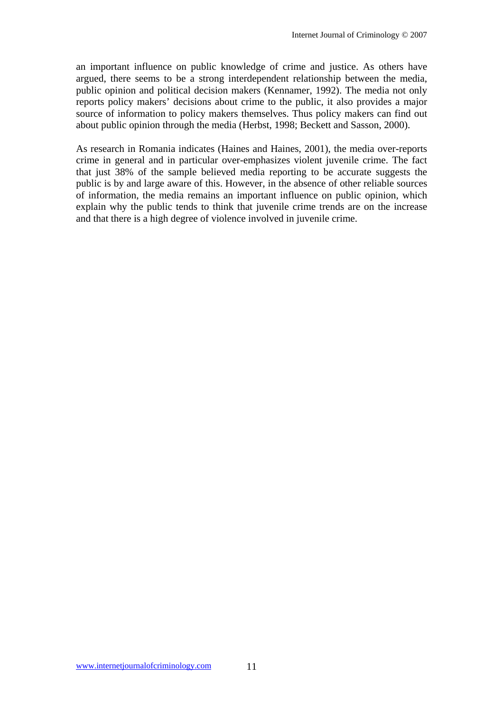an important influence on public knowledge of crime and justice. As others have argued, there seems to be a strong interdependent relationship between the media, public opinion and political decision makers (Kennamer, 1992). The media not only reports policy makers' decisions about crime to the public, it also provides a major source of information to policy makers themselves. Thus policy makers can find out about public opinion through the media (Herbst, 1998; Beckett and Sasson, 2000).

As research in Romania indicates (Haines and Haines, 2001), the media over-reports crime in general and in particular over-emphasizes violent juvenile crime. The fact that just 38% of the sample believed media reporting to be accurate suggests the public is by and large aware of this. However, in the absence of other reliable sources of information, the media remains an important influence on public opinion, which explain why the public tends to think that juvenile crime trends are on the increase and that there is a high degree of violence involved in juvenile crime.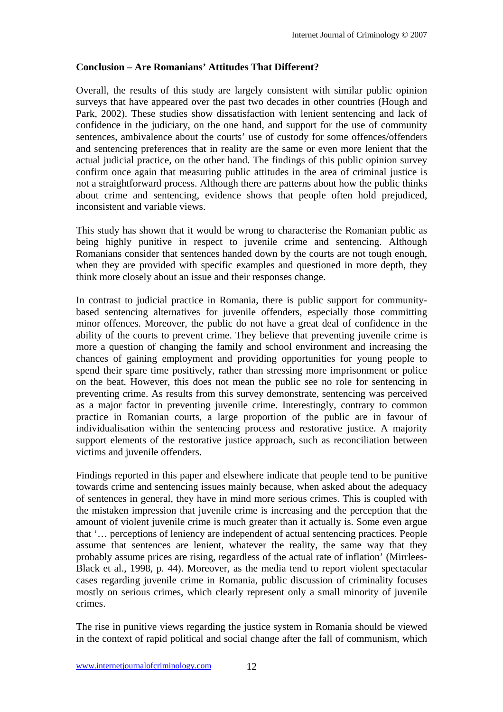# **Conclusion – Are Romanians' Attitudes That Different?**

Overall, the results of this study are largely consistent with similar public opinion surveys that have appeared over the past two decades in other countries (Hough and Park, 2002). These studies show dissatisfaction with lenient sentencing and lack of confidence in the judiciary, on the one hand, and support for the use of community sentences, ambivalence about the courts' use of custody for some offences/offenders and sentencing preferences that in reality are the same or even more lenient that the actual judicial practice, on the other hand. The findings of this public opinion survey confirm once again that measuring public attitudes in the area of criminal justice is not a straightforward process. Although there are patterns about how the public thinks about crime and sentencing, evidence shows that people often hold prejudiced, inconsistent and variable views.

This study has shown that it would be wrong to characterise the Romanian public as being highly punitive in respect to juvenile crime and sentencing. Although Romanians consider that sentences handed down by the courts are not tough enough, when they are provided with specific examples and questioned in more depth, they think more closely about an issue and their responses change.

In contrast to judicial practice in Romania, there is public support for communitybased sentencing alternatives for juvenile offenders, especially those committing minor offences. Moreover, the public do not have a great deal of confidence in the ability of the courts to prevent crime. They believe that preventing juvenile crime is more a question of changing the family and school environment and increasing the chances of gaining employment and providing opportunities for young people to spend their spare time positively, rather than stressing more imprisonment or police on the beat. However, this does not mean the public see no role for sentencing in preventing crime. As results from this survey demonstrate, sentencing was perceived as a major factor in preventing juvenile crime. Interestingly, contrary to common practice in Romanian courts, a large proportion of the public are in favour of individualisation within the sentencing process and restorative justice. A majority support elements of the restorative justice approach, such as reconciliation between victims and juvenile offenders.

Findings reported in this paper and elsewhere indicate that people tend to be punitive towards crime and sentencing issues mainly because, when asked about the adequacy of sentences in general, they have in mind more serious crimes. This is coupled with the mistaken impression that juvenile crime is increasing and the perception that the amount of violent juvenile crime is much greater than it actually is. Some even argue that '… perceptions of leniency are independent of actual sentencing practices. People assume that sentences are lenient, whatever the reality, the same way that they probably assume prices are rising, regardless of the actual rate of inflation' (Mirrlees-Black et al., 1998, p. 44). Moreover, as the media tend to report violent spectacular cases regarding juvenile crime in Romania, public discussion of criminality focuses mostly on serious crimes, which clearly represent only a small minority of juvenile crimes.

The rise in punitive views regarding the justice system in Romania should be viewed in the context of rapid political and social change after the fall of communism, which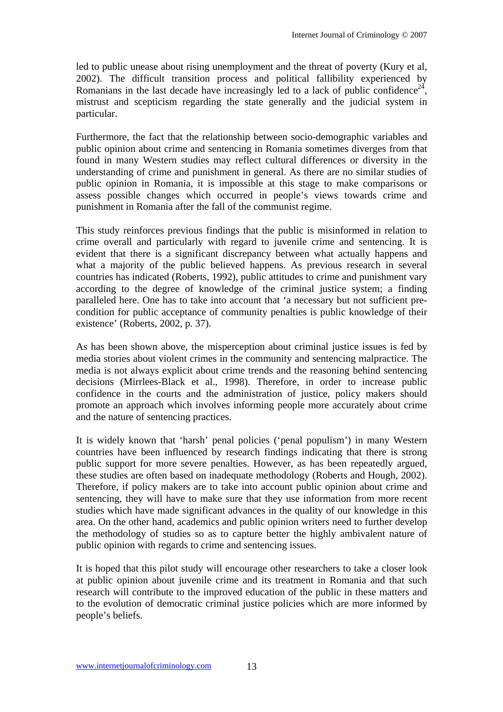led to public unease about rising unemployment and the threat of poverty (Kury et al, 2002). The difficult transition process and political fallibility experienced by Romanians in the last decade have increasingly led to a lack of public confidence<sup>24</sup>, mistrust and scepticism regarding the state generally and the judicial system in particular.

Furthermore, the fact that the relationship between socio-demographic variables and public opinion about crime and sentencing in Romania sometimes diverges from that found in many Western studies may reflect cultural differences or diversity in the understanding of crime and punishment in general. As there are no similar studies of public opinion in Romania, it is impossible at this stage to make comparisons or assess possible changes which occurred in people's views towards crime and punishment in Romania after the fall of the communist regime.

This study reinforces previous findings that the public is misinformed in relation to crime overall and particularly with regard to juvenile crime and sentencing. It is evident that there is a significant discrepancy between what actually happens and what a majority of the public believed happens. As previous research in several countries has indicated (Roberts, 1992), public attitudes to crime and punishment vary according to the degree of knowledge of the criminal justice system; a finding paralleled here. One has to take into account that 'a necessary but not sufficient precondition for public acceptance of community penalties is public knowledge of their existence' (Roberts, 2002, p. 37).

As has been shown above, the misperception about criminal justice issues is fed by media stories about violent crimes in the community and sentencing malpractice. The media is not always explicit about crime trends and the reasoning behind sentencing decisions (Mirrlees-Black et al., 1998). Therefore, in order to increase public confidence in the courts and the administration of justice, policy makers should promote an approach which involves informing people more accurately about crime and the nature of sentencing practices.

It is widely known that 'harsh' penal policies ('penal populism') in many Western countries have been influenced by research findings indicating that there is strong public support for more severe penalties. However, as has been repeatedly argued, these studies are often based on inadequate methodology (Roberts and Hough, 2002). Therefore, if policy makers are to take into account public opinion about crime and sentencing, they will have to make sure that they use information from more recent studies which have made significant advances in the quality of our knowledge in this area. On the other hand, academics and public opinion writers need to further develop the methodology of studies so as to capture better the highly ambivalent nature of public opinion with regards to crime and sentencing issues.

It is hoped that this pilot study will encourage other researchers to take a closer look at public opinion about juvenile crime and its treatment in Romania and that such research will contribute to the improved education of the public in these matters and to the evolution of democratic criminal justice policies which are more informed by people's beliefs.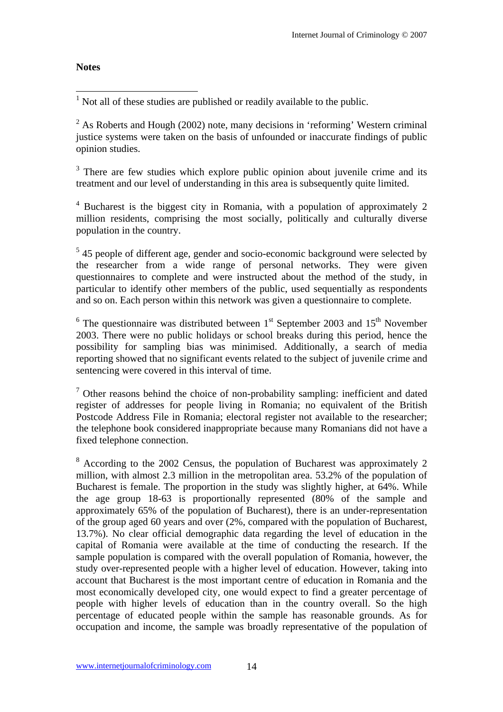# **Notes**

1 Not all of these studies are published or readily available to the public.

 $2^{2}$  As Roberts and Hough (2002) note, many decisions in 'reforming' Western criminal justice systems were taken on the basis of unfounded or inaccurate findings of public opinion studies.

 $3$  There are few studies which explore public opinion about juvenile crime and its treatment and our level of understanding in this area is subsequently quite limited.

<sup>4</sup> Bucharest is the biggest city in Romania, with a population of approximately 2 million residents, comprising the most socially, politically and culturally diverse population in the country.

<sup>5</sup> 45 people of different age, gender and socio-economic background were selected by the researcher from a wide range of personal networks. They were given questionnaires to complete and were instructed about the method of the study, in particular to identify other members of the public, used sequentially as respondents and so on. Each person within this network was given a questionnaire to complete.

 $6$  The questionnaire was distributed between  $1<sup>st</sup>$  September 2003 and  $15<sup>th</sup>$  November 2003. There were no public holidays or school breaks during this period, hence the possibility for sampling bias was minimised. Additionally, a search of media reporting showed that no significant events related to the subject of juvenile crime and sentencing were covered in this interval of time.

 $\sigma$  Other reasons behind the choice of non-probability sampling: inefficient and dated register of addresses for people living in Romania; no equivalent of the British Postcode Address File in Romania; electoral register not available to the researcher; the telephone book considered inappropriate because many Romanians did not have a fixed telephone connection.

<sup>8</sup> According to the 2002 Census, the population of Bucharest was approximately 2 million, with almost 2.3 million in the metropolitan area. 53.2% of the population of Bucharest is female. The proportion in the study was slightly higher, at 64%. While the age group 18-63 is proportionally represented (80% of the sample and approximately 65% of the population of Bucharest), there is an under-representation of the group aged 60 years and over (2%, compared with the population of Bucharest, 13.7%). No clear official demographic data regarding the level of education in the capital of Romania were available at the time of conducting the research. If the sample population is compared with the overall population of Romania, however, the study over-represented people with a higher level of education. However, taking into account that Bucharest is the most important centre of education in Romania and the most economically developed city, one would expect to find a greater percentage of people with higher levels of education than in the country overall. So the high percentage of educated people within the sample has reasonable grounds. As for occupation and income, the sample was broadly representative of the population of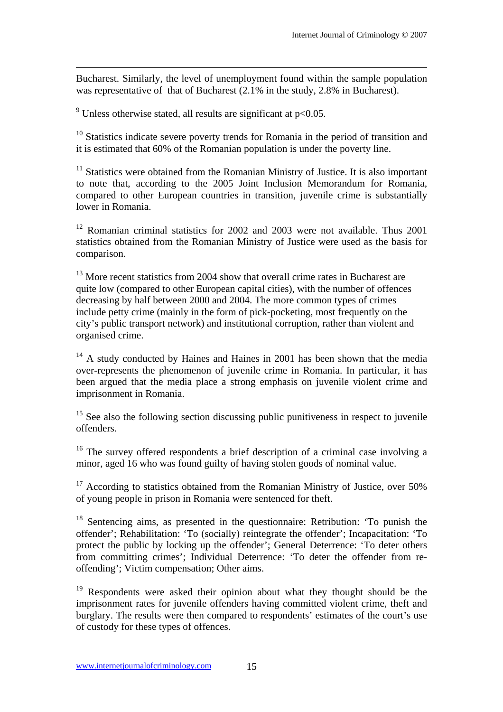Bucharest. Similarly, the level of unemployment found within the sample population was representative of that of Bucharest  $(2.1\%$  in the study, 2.8% in Bucharest).

<sup>9</sup> Unless otherwise stated, all results are significant at  $p<0.05$ .

 $\overline{a}$ 

<sup>10</sup> Statistics indicate severe poverty trends for Romania in the period of transition and it is estimated that 60% of the Romanian population is under the poverty line.

 $11$  Statistics were obtained from the Romanian Ministry of Justice. It is also important to note that, according to the 2005 Joint Inclusion Memorandum for Romania, compared to other European countries in transition, juvenile crime is substantially lower in Romania.

 $12$  Romanian criminal statistics for 2002 and 2003 were not available. Thus 2001 statistics obtained from the Romanian Ministry of Justice were used as the basis for comparison.

 $13$  More recent statistics from 2004 show that overall crime rates in Bucharest are quite low (compared to other European capital cities), with the number of offences decreasing by half between 2000 and 2004. The more common types of crimes include petty crime (mainly in the form of pick-pocketing, most frequently on the city's public transport network) and institutional corruption, rather than violent and organised crime.

<sup>14</sup> A study conducted by Haines and Haines in 2001 has been shown that the media over-represents the phenomenon of juvenile crime in Romania. In particular, it has been argued that the media place a strong emphasis on juvenile violent crime and imprisonment in Romania.

 $15$  See also the following section discussing public punitiveness in respect to juvenile offenders.

<sup>16</sup> The survey offered respondents a brief description of a criminal case involving a minor, aged 16 who was found guilty of having stolen goods of nominal value.

<sup>17</sup> According to statistics obtained from the Romanian Ministry of Justice, over 50% of young people in prison in Romania were sentenced for theft.

18 Sentencing aims, as presented in the questionnaire: Retribution: 'To punish the offender'; Rehabilitation: 'To (socially) reintegrate the offender'; Incapacitation: 'To protect the public by locking up the offender'; General Deterrence: 'To deter others from committing crimes'; Individual Deterrence: 'To deter the offender from reoffending'; Victim compensation; Other aims.

<sup>19</sup> Respondents were asked their opinion about what they thought should be the imprisonment rates for juvenile offenders having committed violent crime, theft and burglary. The results were then compared to respondents' estimates of the court's use of custody for these types of offences.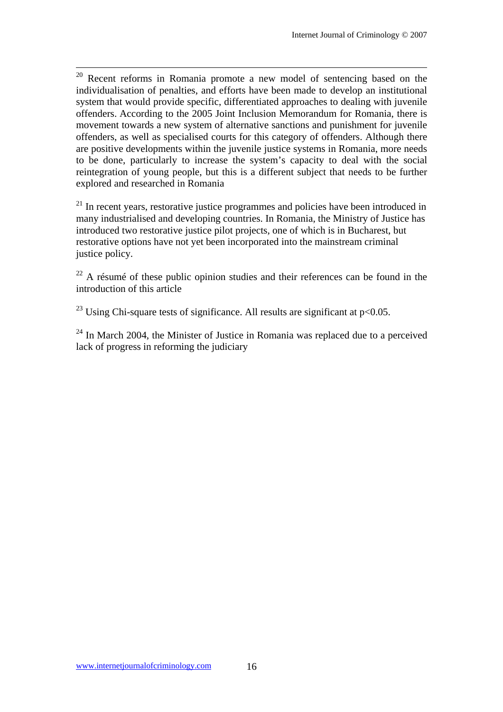<sup>20</sup> Recent reforms in Romania promote a new model of sentencing based on the individualisation of penalties, and efforts have been made to develop an institutional system that would provide specific, differentiated approaches to dealing with juvenile offenders. According to the 2005 Joint Inclusion Memorandum for Romania, there is movement towards a new system of alternative sanctions and punishment for juvenile offenders, as well as specialised courts for this category of offenders. Although there are positive developments within the juvenile justice systems in Romania, more needs to be done, particularly to increase the system's capacity to deal with the social reintegration of young people, but this is a different subject that needs to be further explored and researched in Romania

<sup>21</sup> In recent years, restorative justice programmes and policies have been introduced in many industrialised and developing countries. In Romania, the Ministry of Justice has introduced two restorative justice pilot projects, one of which is in Bucharest, but restorative options have not yet been incorporated into the mainstream criminal justice policy.

 $22$  A résumé of these public opinion studies and their references can be found in the introduction of this article

<sup>23</sup> Using Chi-square tests of significance. All results are significant at  $p<0.05$ .

 $24$  In March 2004, the Minister of Justice in Romania was replaced due to a perceived lack of progress in reforming the judiciary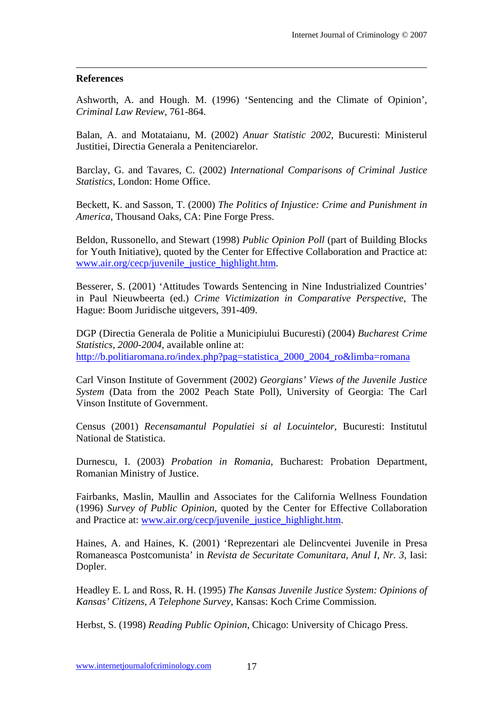#### **References**

 $\overline{a}$ 

Ashworth, A. and Hough. M. (1996) 'Sentencing and the Climate of Opinion', *Criminal Law Review*, 761-864.

Balan, A. and Motataianu, M. (2002) *Anuar Statistic 2002*, Bucuresti: Ministerul Justitiei, Directia Generala a Penitenciarelor.

Barclay, G. and Tavares, C. (2002) *International Comparisons of Criminal Justice Statistics*, London: Home Office.

Beckett, K. and Sasson, T. (2000) *The Politics of Injustice: Crime and Punishment in America*, Thousand Oaks, CA: Pine Forge Press.

Beldon, Russonello, and Stewart (1998) *Public Opinion Poll* (part of Building Blocks for Youth Initiative), quoted by the Center for Effective Collaboration and Practice at: www.air.org/cecp/juvenile\_justice\_highlight.htm.

Besserer, S. (2001) 'Attitudes Towards Sentencing in Nine Industrialized Countries' in Paul Nieuwbeerta (ed.) *Crime Victimization in Comparative Perspective*, The Hague: Boom Juridische uitgevers, 391-409.

DGP (Directia Generala de Politie a Municipiului Bucuresti) (2004) *Bucharest Crime Statistics, 2000-2004*, available online at: http://b.politiaromana.ro/index.php?pag=statistica\_2000\_2004\_ro&limba=romana

Carl Vinson Institute of Government (2002) *Georgians' Views of the Juvenile Justice System* (Data from the 2002 Peach State Poll), University of Georgia: The Carl Vinson Institute of Government.

Census (2001) *Recensamantul Populatiei si al Locuintelor*, Bucuresti: Institutul National de Statistica.

Durnescu, I. (2003) *Probation in Romania*, Bucharest: Probation Department, Romanian Ministry of Justice.

Fairbanks, Maslin, Maullin and Associates for the California Wellness Foundation (1996) *Survey of Public Opinion,* quoted by the Center for Effective Collaboration and Practice at: www.air.org/cecp/juvenile\_justice\_highlight.htm.

Haines, A. and Haines, K. (2001) 'Reprezentari ale Delincventei Juvenile in Presa Romaneasca Postcomunista' in *Revista de Securitate Comunitara*, *Anul I, Nr. 3*, Iasi: Dopler.

Headley E. L and Ross, R. H. (1995) *The Kansas Juvenile Justice System: Opinions of Kansas' Citizens*, *A Telephone Survey*, Kansas: Koch Crime Commission.

Herbst, S. (1998) *Reading Public Opinion*, Chicago: University of Chicago Press.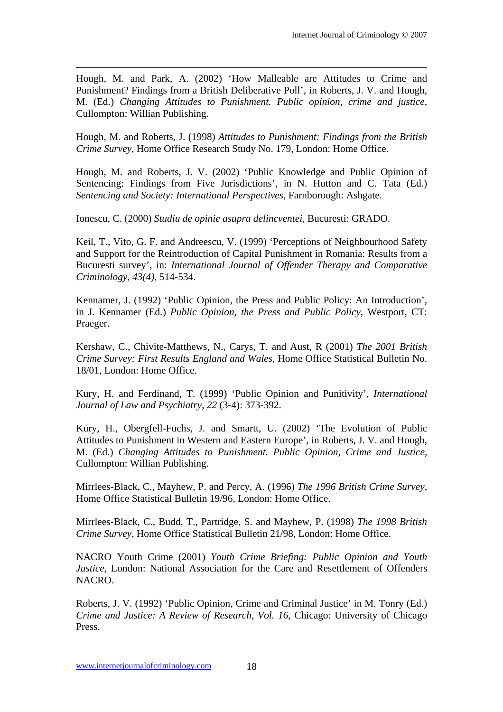Hough, M. and Park, A. (2002) 'How Malleable are Attitudes to Crime and Punishment? Findings from a British Deliberative Poll', in Roberts, J. V. and Hough, M. (Ed.) *Changing Attitudes to Punishment. Public opinion, crime and justice*, Cullompton: Willian Publishing.

 $\overline{a}$ 

Hough, M. and Roberts, J. (1998) *Attitudes to Punishment: Findings from the British Crime Survey*, Home Office Research Study No. 179, London: Home Office.

Hough, M. and Roberts, J. V. (2002) 'Public Knowledge and Public Opinion of Sentencing: Findings from Five Jurisdictions', in N. Hutton and C. Tata (Ed.) *Sentencing and Society: International Perspectives*, Farnborough: Ashgate.

Ionescu, C. (2000) *Studiu de opinie asupra delincventei*, Bucuresti: GRADO.

Keil, T., Vito, G. F. and Andreescu, V. (1999) 'Perceptions of Neighbourhood Safety and Support for the Reintroduction of Capital Punishment in Romania: Results from a Bucuresti survey', in: *International Journal of Offender Therapy and Comparative Criminology*, *43(4)*, 514-534.

Kennamer, J. (1992) 'Public Opinion, the Press and Public Policy: An Introduction', in J. Kennamer (Ed.) *Public Opinion, the Press and Public Policy*, Westport, CT: Praeger.

Kershaw, C., Chivite-Matthews, N., Carys, T. and Aust, R (2001) *The 2001 British Crime Survey: First Results England and Wales*, Home Office Statistical Bulletin No. 18/01, London: Home Office.

Kury, H. and Ferdinand, T. (1999) 'Public Opinion and Punitivity', *International Journal of Law and Psychiatry*, *22* (3-4): 373-392.

Kury, H., Obergfell-Fuchs, J. and Smartt, U. (2002) 'The Evolution of Public Attitudes to Punishment in Western and Eastern Europe', in Roberts, J. V. and Hough, M. (Ed.) *Changing Attitudes to Punishment. Public Opinion, Crime and Justice*, Cullompton: Willian Publishing.

Mirrlees-Black, C., Mayhew, P. and Percy, A. (1996) *The 1996 British Crime Survey,*  Home Office Statistical Bulletin 19/96, London: Home Office.

Mirrlees-Black, C., Budd, T., Partridge, S. and Mayhew, P. (1998) *The 1998 British Crime Survey,* Home Office Statistical Bulletin 21/98, London: Home Office.

NACRO Youth Crime (2001) *Youth Crime Briefing: Public Opinion and Youth Justice*, London: National Association for the Care and Resettlement of Offenders NACRO.

Roberts, J. V. (1992) 'Public Opinion, Crime and Criminal Justice' in M. Tonry (Ed.) *Crime and Justice: A Review of Research, Vol. 16*, Chicago: University of Chicago Press.